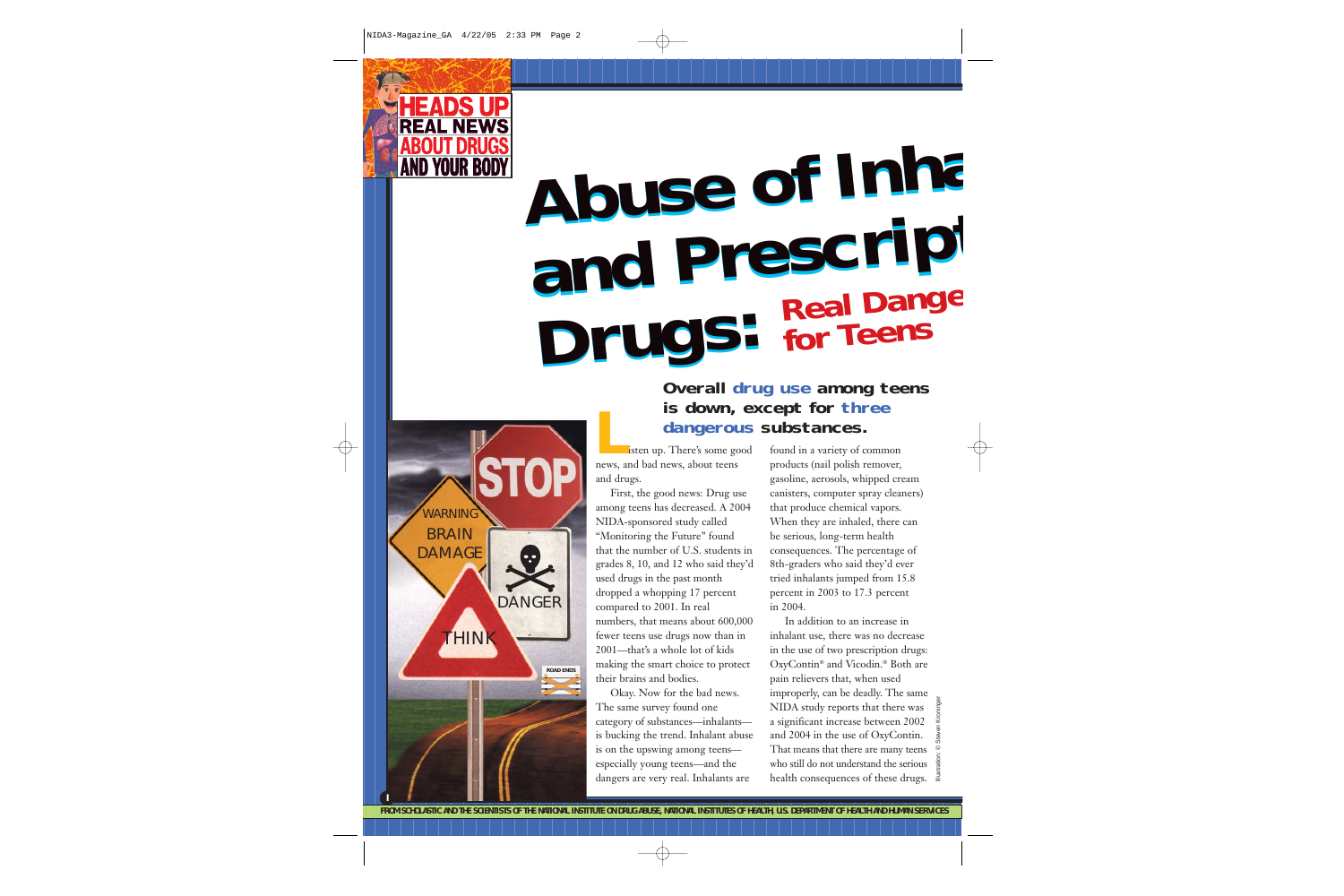

**I**

THINK

**ROAD ENDS**

DANGER

**WARNING BRAIN DAMAGE** 

# **Abuse of Inha and Prescript Drugs: Abuse of Inha and Prescript Drugs: Real Dange for Teens**

# **Cangerous**<br>
listen up. There's some good **Overall drug use among teens is down, except for three dangerous substances.**

news, and bad news, about teens and drugs.

First, the good news: Drug use among teens has decreased. A 2004 NIDA-sponsored study called "Monitoring the Future" found that the number of U.S. students in grades 8, 10, and 12 who said they'd used drugs in the past month dropped a whopping 17 percent compared to 2001. In real numbers, that means about 600,000 fewer teens use drugs now than in 2001—that's a whole lot of kids making the smart choice to protect their brains and bodies.

Okay. Now for the bad news. The same survey found one category of substances—inhalants is bucking the trend. Inhalant abuse is on the upswing among teens especially young teens—and the dangers are very real. Inhalants are

found in a variety of common products (nail polish remover, gasoline, aerosols, whipped cream canisters, computer spray cleaners) that produce chemical vapors. When they are inhaled, there can be serious, long-term health consequences. The percentage of 8th-graders who said they'd ever tried inhalants jumped from 15.8 percent in 2003 to 17.3 percent in 2004.

In addition to an increase in inhalant use, there was no decrease in the use of two prescription drugs: OxyContin® and Vicodin.® Both are pain relievers that, when used improperly, can be deadly. The same NIDA study reports that there was a significant increase between 2002 and 2004 in the use of OxyContin. That means that there are many teens who still do not understand the serious health consequences of these drugs.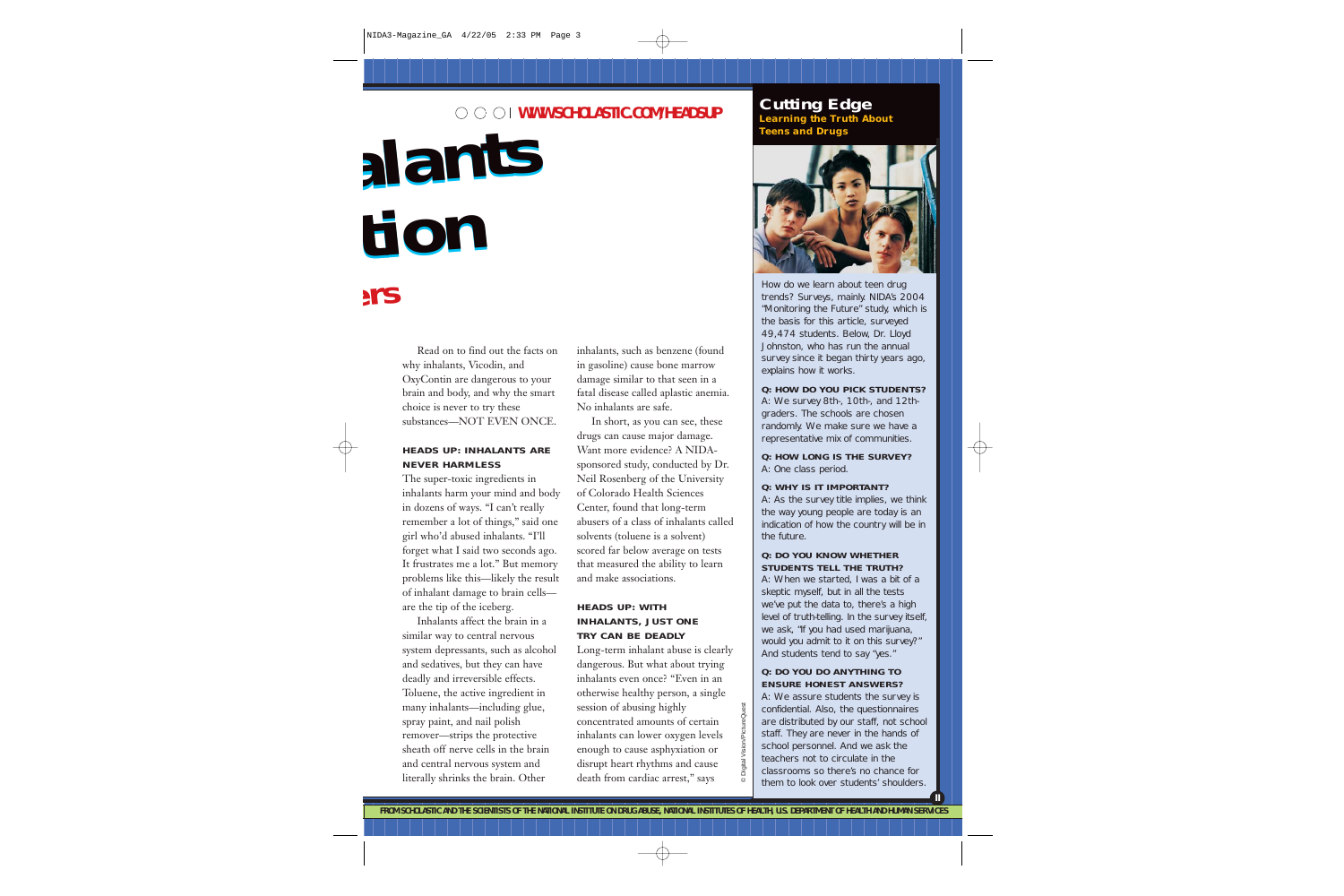# **WWW.SCHOLASTIC.COM/HEADSUP**

**alants alants tion tion ers** 

# Read on to find out the facts on why inhalants, Vicodin, and OxyContin are dangerous to your brain and body, and why the smart choice is never to try these substances—NOT EVEN ONCE.

## **HEADS UP: INHALANTS ARE NEVER HARMLESS**

The super-toxic ingredients in inhalants harm your mind and body in dozens of ways. "I can't really remember a lot of things," said one girl who'd abused inhalants. "I'll forget what I said two seconds ago. It frustrates me a lot." But memory problems like this—likely the result of inhalant damage to brain cells are the tip of the iceberg.

Inhalants affect the brain in a similar way to central nervous system depressants, such as alcohol and sedatives, but they can have deadly and irreversible effects. Toluene, the active ingredient in many inhalants—including glue, spray paint, and nail polish remover—strips the protective sheath off nerve cells in the brain and central nervous system and literally shrinks the brain. Other

inhalants, such as benzene (found in gasoline) cause bone marrow damage similar to that seen in a fatal disease called aplastic anemia. No inhalants are safe.

In short, as you can see, these drugs can cause major damage. Want more evidence? A NIDAsponsored study, conducted by Dr. Neil Rosenberg of the University of Colorado Health Sciences Center, found that long-term abusers of a class of inhalants called solvents (toluene is a solvent) scored far below average on tests that measured the ability to learn and make associations.

# **HEADS UP: WITH INHALANTS, JUST ONE TRY CAN BE DEADLY**

Long-term inhalant abuse is clearly dangerous. But what about trying inhalants even once? "Even in an otherwise healthy person, a single session of abusing highly concentrated amounts of certain inhalants can lower oxygen levels enough to cause asphyxiation or disrupt heart rhythms and cause death from cardiac arrest," says

# **Cutting Edge Learning the Truth About Teens and Drugs**



How do we learn about teen drug trends? Surveys, mainly. NIDA's 2004 "Monitoring the Future" study, which is the basis for this article, surveyed 49,474 students. Below, Dr. Lloyd Johnston, who has run the annual survey since it began thirty years ago, explains how it works.

### **Q: HOW DO YOU PICK STUDENTS?**

A: We survey 8th-, 10th-, and 12thgraders. The schools are chosen randomly. We make sure we have a representative mix of communities.

**Q: HOW LONG IS THE SURVEY?** A: One class period.

### **Q: WHY IS IT IMPORTANT?**

A: As the survey title implies, we think the way young people are today is an indication of how the country will be in the future.

### **Q: DO YOU KNOW WHETHER STUDENTS TELL THE TRUTH?**

A: When we started, I was a bit of a skeptic myself, but in all the tests we've put the data to, there's a high level of truth-telling. In the survey itself, we ask, "If you had used marijuana, would you admit to it on this survey?" And students tend to say "yes."

### **Q: DO YOU DO ANYTHING TO ENSURE HONEST ANSWERS?**

A: We assure students the survey is confidential. Also, the questionnaires are distributed by our staff, not school staff. They are never in the hands of school personnel. And we ask the teachers not to circulate in the classrooms so there's no chance for them to look over students' shoulders.

**II**

© Digital Vision/PictureQuest **Digital Vision/PictureQuest**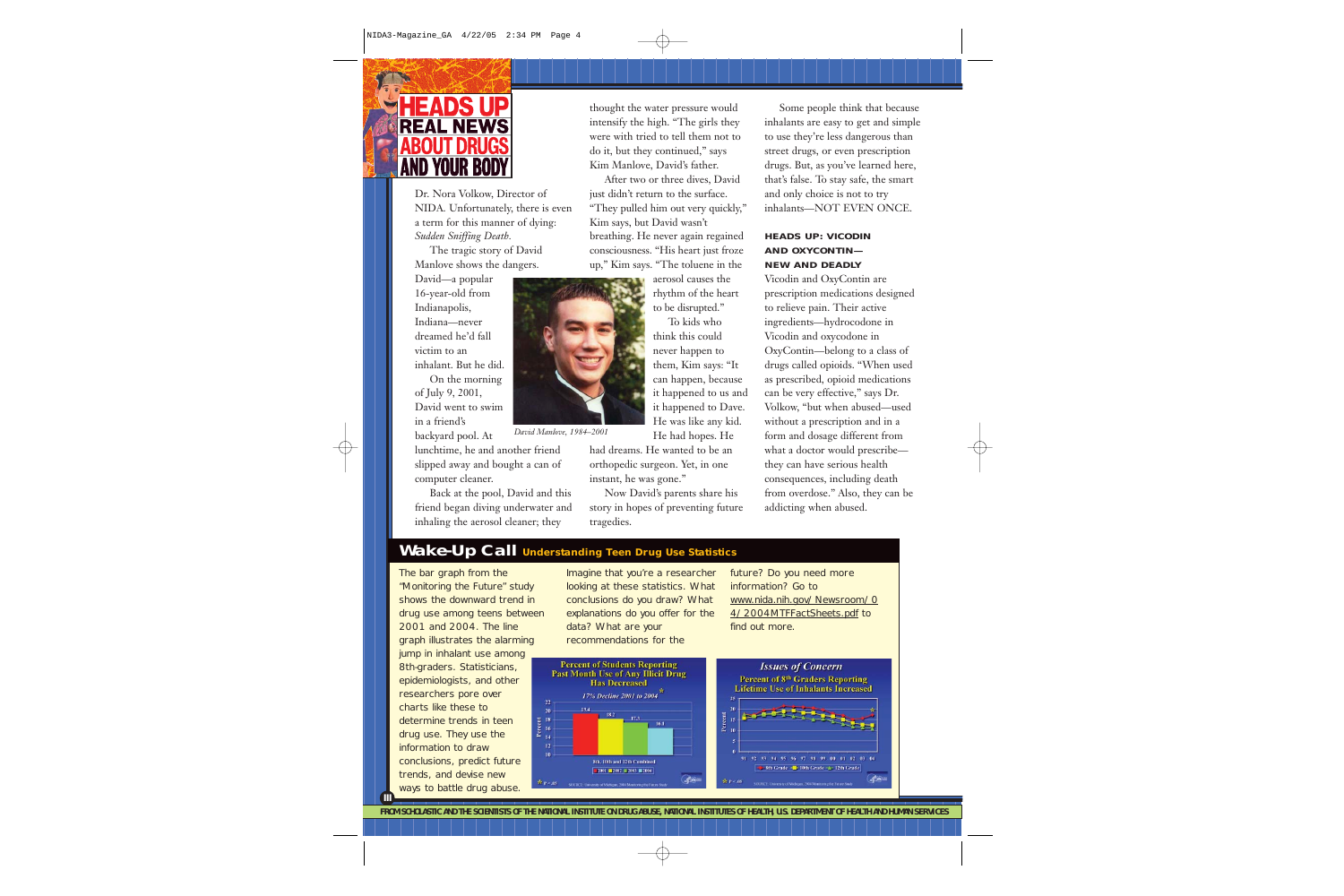

Dr. Nora Volkow, Director of NIDA. Unfortunately, there is even a term for this manner of dying: *Sudden Sniffing Death.*

The tragic story of David Manlove shows the dangers.

David—a popular 16-year-old from Indianapolis, Indiana—never dreamed he'd fall victim to an inhalant. But he did. On the morning of July 9, 2001, David went to swim in a friend's

backyard pool. At lunchtime, he and another friend slipped away and bought a can of computer cleaner.

Back at the pool, David and this friend began diving underwater and inhaling the aerosol cleaner; they

thought the water pressure would intensify the high. "The girls they were with tried to tell them not to do it, but they continued," says Kim Manlove, David's father.

After two or three dives, David just didn't return to the surface. "They pulled him out very quickly," Kim says, but David wasn't breathing. He never again regained consciousness. "His heart just froze up," Kim says. "The toluene in the

> aerosol causes the rhythm of the heart to be disrupted."

To kids who think this could never happen to them, Kim says: "It can happen, because it happened to us and it happened to Dave. He was like any kid.

He had hopes. He

*David Manlove, 1984–2001*

had dreams. He wanted to be an orthopedic surgeon. Yet, in one instant, he was gone."

Now David's parents share his story in hopes of preventing future tragedies.

Some people think that because inhalants are easy to get and simple to use they're less dangerous than street drugs, or even prescription drugs. But, as you've learned here, that's false. To stay safe, the smart and only choice is not to try inhalants—NOT EVEN ONCE.

# **HEADS UP: VICODIN AND OXYCONTIN— NEW AND DEADLY**

Vicodin and OxyContin are prescription medications designed to relieve pain. Their active ingredients—hydrocodone in Vicodin and oxycodone in OxyContin—belong to a class of drugs called opioids. "When used as prescribed, opioid medications can be very effective," says Dr. Volkow, "but when abused—used without a prescription and in a form and dosage different from what a doctor would prescribe they can have serious health consequences, including death from overdose." Also, they can be addicting when abused.

# **Wake-Up Call Understanding Teen Drug Use Statistics**

 $20$ 

 $14$  $12$ 

The bar graph from the "Monitoring the Future" study shows the downward trend in drug use among teens between 2001 and 2004. The line graph illustrates the alarming jump in inhalant use among 8th-graders. Statisticians, epidemiologists, and other researchers pore over charts like these to Percent<br>
I =  $\frac{1}{2}$ determine trends in teen drug use. They use the information to draw conclusions, predict future trends, and devise new ways to battle drug abuse.

**III**

Imagine that you're a researcher looking at these statistics. What conclusions do you draw? What explanations do you offer for the data? What are your recommendations for the

18.2

future? Do you need more information? Go to www.nida.nih.gov/Newsroom/0 4/2004MTFFactSheets.pdf to find out more.



**FROM SCHOLASTIC AND THE SCIENTISTS OF THE NATIONAL INSTITUTE ON DRUG ABUSE, NATIONAL INSTITUTES OF HEALTH, U.S. DEPARTMENT OF HEALTH AND HUMAN SERVICES**